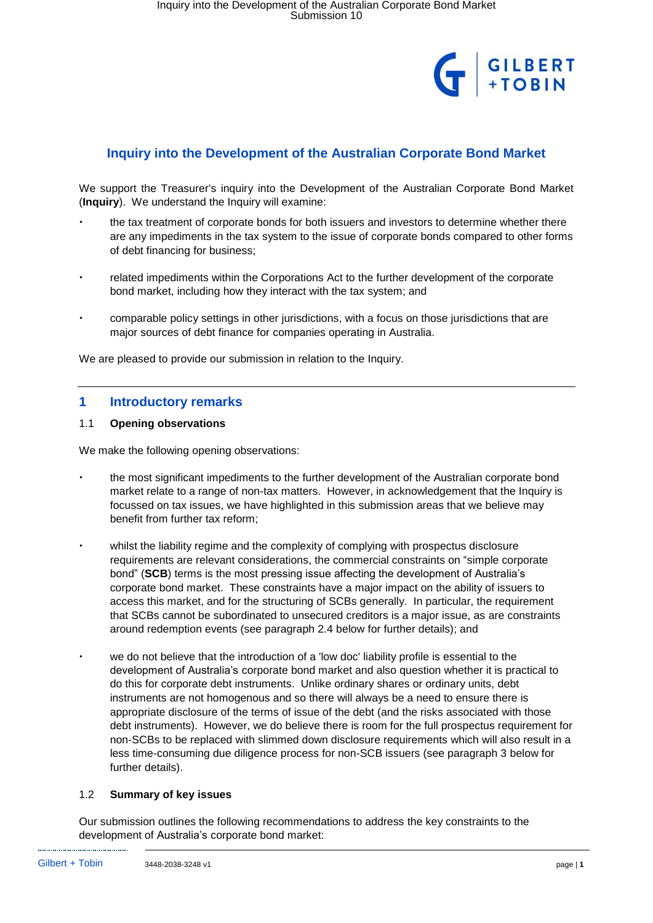

# **Inquiry into the Development of the Australian Corporate Bond Market**

We support the Treasurer's inquiry into the Development of the Australian Corporate Bond Market (**Inquiry**). We understand the Inquiry will examine:

- the tax treatment of corporate bonds for both issuers and investors to determine whether there are any impediments in the tax system to the issue of corporate bonds compared to other forms of debt financing for business;
- related impediments within the Corporations Act to the further development of the corporate bond market, including how they interact with the tax system; and
- comparable policy settings in other jurisdictions, with a focus on those jurisdictions that are major sources of debt finance for companies operating in Australia.

We are pleased to provide our submission in relation to the Inquiry.

## **1 Introductory remarks**

## 1.1 **Opening observations**

We make the following opening observations:

- the most significant impediments to the further development of the Australian corporate bond market relate to a range of non-tax matters. However, in acknowledgement that the Inquiry is focussed on tax issues, we have highlighted in this submission areas that we believe may benefit from further tax reform;
- whilst the liability regime and the complexity of complying with prospectus disclosure requirements are relevant considerations, the commercial constraints on "simple corporate bond" (**SCB**) terms is the most pressing issue affecting the development of Australia's corporate bond market. These constraints have a major impact on the ability of issuers to access this market, and for the structuring of SCBs generally. In particular, the requirement that SCBs cannot be subordinated to unsecured creditors is a major issue, as are constraints around redemption events (see paragraph 2.4 below for further details); and
- we do not believe that the introduction of a 'low doc' liability profile is essential to the development of Australia's corporate bond market and also question whether it is practical to do this for corporate debt instruments. Unlike ordinary shares or ordinary units, debt instruments are not homogenous and so there will always be a need to ensure there is appropriate disclosure of the terms of issue of the debt (and the risks associated with those debt instruments). However, we do believe there is room for the full prospectus requirement for non-SCBs to be replaced with slimmed down disclosure requirements which will also result in a less time-consuming due diligence process for non-SCB issuers (see paragraph 3 below for further details).

## 1.2 **Summary of key issues**

Our submission outlines the following recommendations to address the key constraints to the development of Australia's corporate bond market: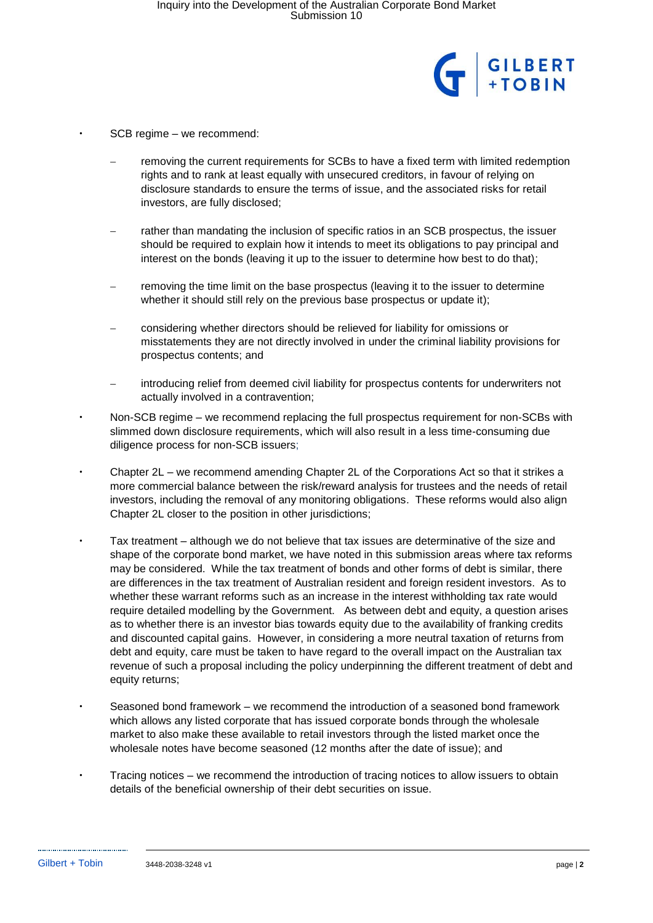

- SCB regime we recommend:
- removing the current requirements for SCBs to have a fixed term with limited redemption rights and to rank at least equally with unsecured creditors, in favour of relying on disclosure standards to ensure the terms of issue, and the associated risks for retail investors, are fully disclosed;
- rather than mandating the inclusion of specific ratios in an SCB prospectus, the issuer should be required to explain how it intends to meet its obligations to pay principal and interest on the bonds (leaving it up to the issuer to determine how best to do that);
- removing the time limit on the base prospectus (leaving it to the issuer to determine whether it should still rely on the previous base prospectus or update it);
- − considering whether directors should be relieved for liability for omissions or misstatements they are not directly involved in under the criminal liability provisions for prospectus contents; and
- introducing relief from deemed civil liability for prospectus contents for underwriters not actually involved in a contravention;
- Non-SCB regime we recommend replacing the full prospectus requirement for non-SCBs with slimmed down disclosure requirements, which will also result in a less time-consuming due diligence process for non-SCB issuers;
- Chapter 2L we recommend amending Chapter 2L of the Corporations Act so that it strikes a more commercial balance between the risk/reward analysis for trustees and the needs of retail investors, including the removal of any monitoring obligations. These reforms would also align Chapter 2L closer to the position in other jurisdictions;
- Tax treatment although we do not believe that tax issues are determinative of the size and shape of the corporate bond market, we have noted in this submission areas where tax reforms may be considered. While the tax treatment of bonds and other forms of debt is similar, there are differences in the tax treatment of Australian resident and foreign resident investors. As to whether these warrant reforms such as an increase in the interest withholding tax rate would require detailed modelling by the Government. As between debt and equity, a question arises as to whether there is an investor bias towards equity due to the availability of franking credits and discounted capital gains. However, in considering a more neutral taxation of returns from debt and equity, care must be taken to have regard to the overall impact on the Australian tax revenue of such a proposal including the policy underpinning the different treatment of debt and equity returns;
- Seasoned bond framework we recommend the introduction of a seasoned bond framework which allows any listed corporate that has issued corporate bonds through the wholesale market to also make these available to retail investors through the listed market once the wholesale notes have become seasoned (12 months after the date of issue); and
- Tracing notices we recommend the introduction of tracing notices to allow issuers to obtain details of the beneficial ownership of their debt securities on issue.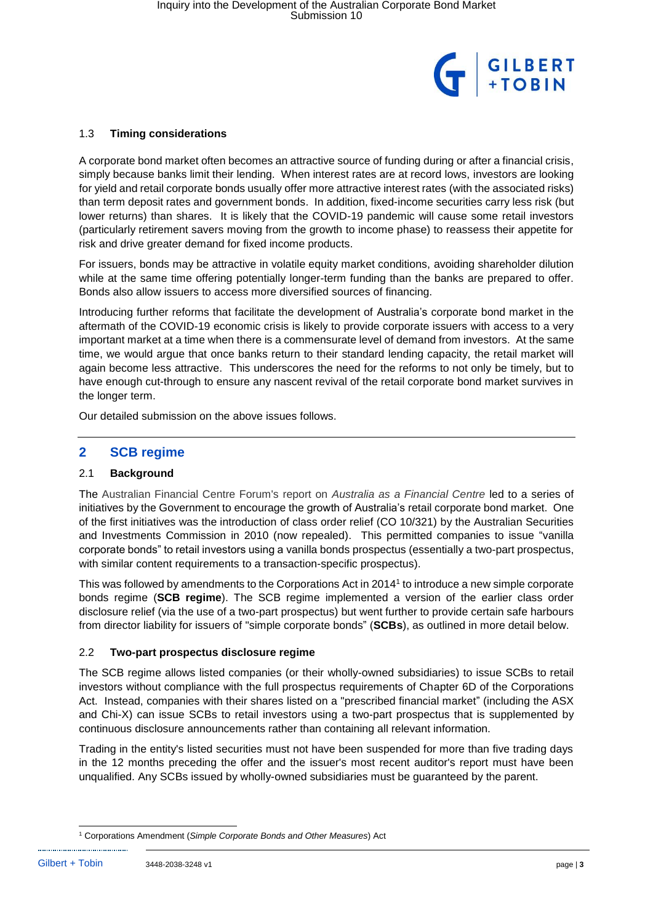

### 1.3 **Timing considerations**

A corporate bond market often becomes an attractive source of funding during or after a financial crisis, simply because banks limit their lending. When interest rates are at record lows, investors are looking for yield and retail corporate bonds usually offer more attractive interest rates (with the associated risks) than term deposit rates and government bonds. In addition, fixed-income securities carry less risk (but lower returns) than shares. It is likely that the COVID-19 pandemic will cause some retail investors (particularly retirement savers moving from the growth to income phase) to reassess their appetite for risk and drive greater demand for fixed income products.

For issuers, bonds may be attractive in volatile equity market conditions, avoiding shareholder dilution while at the same time offering potentially longer-term funding than the banks are prepared to offer. Bonds also allow issuers to access more diversified sources of financing.

Introducing further reforms that facilitate the development of Australia's corporate bond market in the aftermath of the COVID-19 economic crisis is likely to provide corporate issuers with access to a very important market at a time when there is a commensurate level of demand from investors. At the same time, we would argue that once banks return to their standard lending capacity, the retail market will again become less attractive. This underscores the need for the reforms to not only be timely, but to have enough cut-through to ensure any nascent revival of the retail corporate bond market survives in the longer term.

Our detailed submission on the above issues follows.

## **2 SCB regime**

## 2.1 **Background**

The Australian Financial Centre Forum's report on *Australia as a Financial Centre* led to a series of initiatives by the Government to encourage the growth of Australia's retail corporate bond market. One of the first initiatives was the introduction of class order relief (CO 10/321) by the Australian Securities and Investments Commission in 2010 (now repealed). This permitted companies to issue "vanilla corporate bonds" to retail investors using a vanilla bonds prospectus (essentially a two-part prospectus, with similar content requirements to a transaction-specific prospectus).

This was followed by amendments to the Corporations Act in 2014<sup>1</sup> to introduce a new simple corporate bonds regime (**SCB regime**). The SCB regime implemented a version of the earlier class order disclosure relief (via the use of a two-part prospectus) but went further to provide certain safe harbours from director liability for issuers of "simple corporate bonds" (**SCBs**), as outlined in more detail below.

## 2.2 **Two-part prospectus disclosure regime**

The SCB regime allows listed companies (or their wholly-owned subsidiaries) to issue SCBs to retail investors without compliance with the full prospectus requirements of Chapter 6D of the Corporations Act. Instead, companies with their shares listed on a "prescribed financial market" (including the ASX and Chi-X) can issue SCBs to retail investors using a two-part prospectus that is supplemented by continuous disclosure announcements rather than containing all relevant information.

Trading in the entity's listed securities must not have been suspended for more than five trading days in the 12 months preceding the offer and the issuer's most recent auditor's report must have been unqualified. Any SCBs issued by wholly-owned subsidiaries must be guaranteed by the parent.

<sup>-</sup><sup>1</sup> Corporations Amendment (*Simple Corporate Bonds and Other Measures*) Act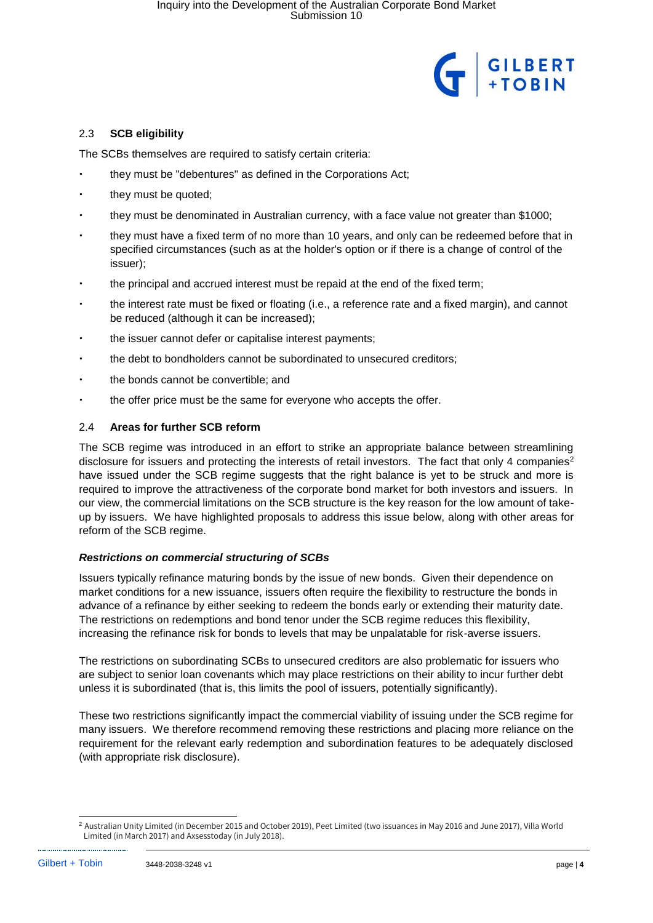

## 2.3 **SCB eligibility**

The SCBs themselves are required to satisfy certain criteria:

- they must be "debentures" as defined in the Corporations Act;
- they must be quoted;
- they must be denominated in Australian currency, with a face value not greater than \$1000;
- they must have a fixed term of no more than 10 years, and only can be redeemed before that in specified circumstances (such as at the holder's option or if there is a change of control of the issuer);
- the principal and accrued interest must be repaid at the end of the fixed term;
- the interest rate must be fixed or floating (i.e., a reference rate and a fixed margin), and cannot be reduced (although it can be increased);
- the issuer cannot defer or capitalise interest payments;
- the debt to bondholders cannot be subordinated to unsecured creditors;
- the bonds cannot be convertible; and
- the offer price must be the same for everyone who accepts the offer.

## 2.4 **Areas for further SCB reform**

The SCB regime was introduced in an effort to strike an appropriate balance between streamlining disclosure for issuers and protecting the interests of retail investors. The fact that only 4 companies<sup>2</sup> have issued under the SCB regime suggests that the right balance is yet to be struck and more is required to improve the attractiveness of the corporate bond market for both investors and issuers. In our view, the commercial limitations on the SCB structure is the key reason for the low amount of takeup by issuers. We have highlighted proposals to address this issue below, along with other areas for reform of the SCB regime.

## *Restrictions on commercial structuring of SCBs*

Issuers typically refinance maturing bonds by the issue of new bonds. Given their dependence on market conditions for a new issuance, issuers often require the flexibility to restructure the bonds in advance of a refinance by either seeking to redeem the bonds early or extending their maturity date. The restrictions on redemptions and bond tenor under the SCB regime reduces this flexibility, increasing the refinance risk for bonds to levels that may be unpalatable for risk-averse issuers.

The restrictions on subordinating SCBs to unsecured creditors are also problematic for issuers who are subject to senior loan covenants which may place restrictions on their ability to incur further debt unless it is subordinated (that is, this limits the pool of issuers, potentially significantly).

These two restrictions significantly impact the commercial viability of issuing under the SCB regime for many issuers. We therefore recommend removing these restrictions and placing more reliance on the requirement for the relevant early redemption and subordination features to be adequately disclosed (with appropriate risk disclosure).

<sup>-</sup><sup>2</sup> Australian Unity Limited (in December 2015 and October 2019), Peet Limited (two issuances in May 2016 and June 2017), Villa World Limited (in March 2017) and Axsesstoday (in July 2018).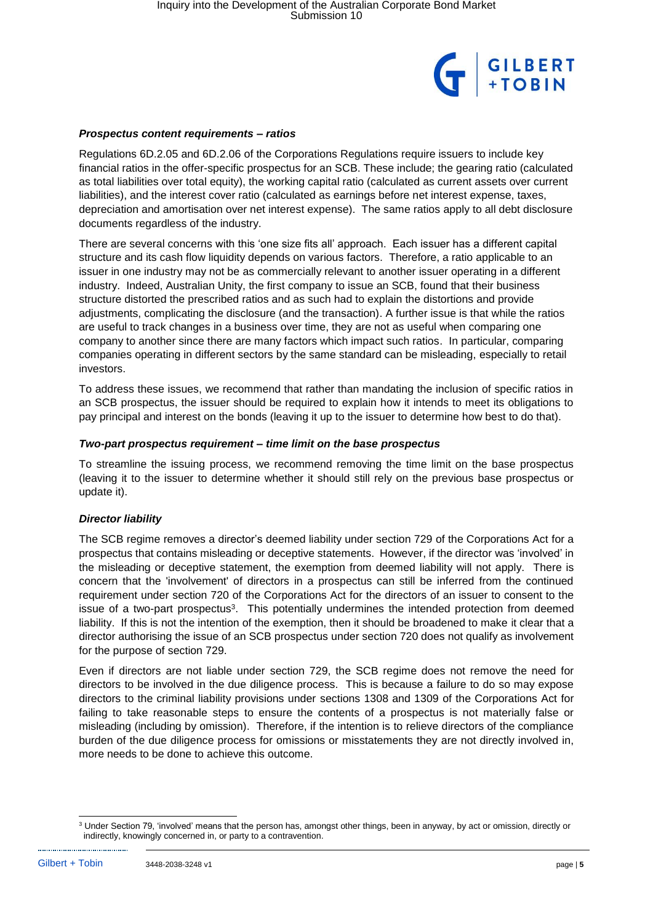

#### *Prospectus content requirements – ratios*

Regulations 6D.2.05 and 6D.2.06 of the Corporations Regulations require issuers to include key financial ratios in the offer-specific prospectus for an SCB. These include; the gearing ratio (calculated as total liabilities over total equity), the working capital ratio (calculated as current assets over current liabilities), and the interest cover ratio (calculated as earnings before net interest expense, taxes, depreciation and amortisation over net interest expense). The same ratios apply to all debt disclosure documents regardless of the industry.

There are several concerns with this 'one size fits all' approach. Each issuer has a different capital structure and its cash flow liquidity depends on various factors. Therefore, a ratio applicable to an issuer in one industry may not be as commercially relevant to another issuer operating in a different industry. Indeed, Australian Unity, the first company to issue an SCB, found that their business structure distorted the prescribed ratios and as such had to explain the distortions and provide adjustments, complicating the disclosure (and the transaction). A further issue is that while the ratios are useful to track changes in a business over time, they are not as useful when comparing one company to another since there are many factors which impact such ratios. In particular, comparing companies operating in different sectors by the same standard can be misleading, especially to retail investors.

To address these issues, we recommend that rather than mandating the inclusion of specific ratios in an SCB prospectus, the issuer should be required to explain how it intends to meet its obligations to pay principal and interest on the bonds (leaving it up to the issuer to determine how best to do that).

### *Two-part prospectus requirement – time limit on the base prospectus*

To streamline the issuing process, we recommend removing the time limit on the base prospectus (leaving it to the issuer to determine whether it should still rely on the previous base prospectus or update it).

## *Director liability*

The SCB regime removes a director's deemed liability under section 729 of the Corporations Act for a prospectus that contains misleading or deceptive statements. However, if the director was 'involved' in the misleading or deceptive statement, the exemption from deemed liability will not apply. There is concern that the 'involvement' of directors in a prospectus can still be inferred from the continued requirement under section 720 of the Corporations Act for the directors of an issuer to consent to the issue of a two-part prospectus<sup>3</sup>. This potentially undermines the intended protection from deemed liability. If this is not the intention of the exemption, then it should be broadened to make it clear that a director authorising the issue of an SCB prospectus under section 720 does not qualify as involvement for the purpose of section 729.

Even if directors are not liable under section 729, the SCB regime does not remove the need for directors to be involved in the due diligence process. This is because a failure to do so may expose directors to the criminal liability provisions under sections 1308 and 1309 of the Corporations Act for failing to take reasonable steps to ensure the contents of a prospectus is not materially false or misleading (including by omission). Therefore, if the intention is to relieve directors of the compliance burden of the due diligence process for omissions or misstatements they are not directly involved in, more needs to be done to achieve this outcome.

-

<sup>&</sup>lt;sup>3</sup> Under Section 79, 'involved' means that the person has, amongst other things, been in anyway, by act or omission, directly or indirectly, knowingly concerned in, or party to a contravention.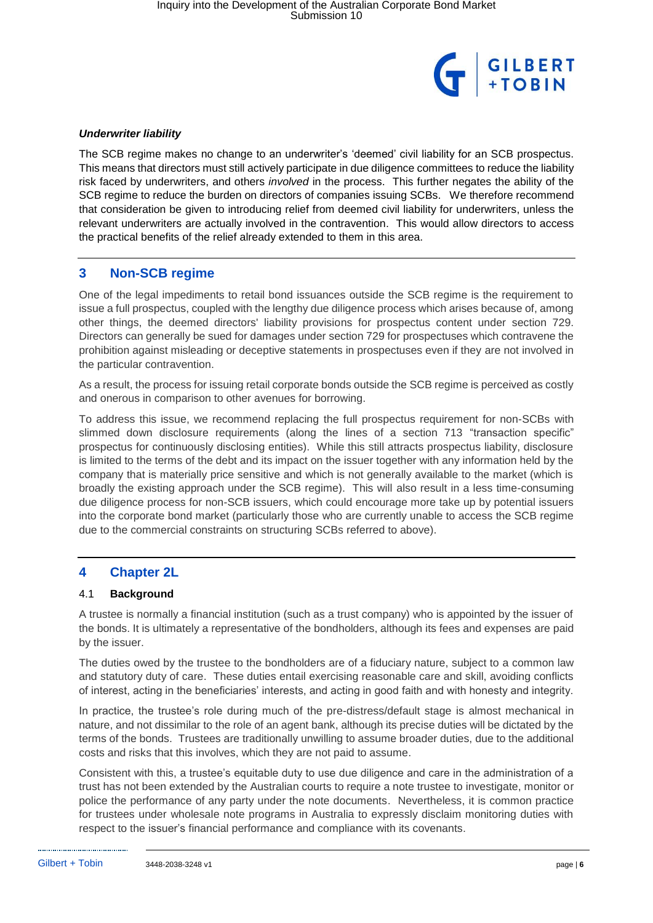

### *Underwriter liability*

The SCB regime makes no change to an underwriter's 'deemed' civil liability for an SCB prospectus. This means that directors must still actively participate in due diligence committees to reduce the liability risk faced by underwriters, and others *involved* in the process. This further negates the ability of the SCB regime to reduce the burden on directors of companies issuing SCBs. We therefore recommend that consideration be given to introducing relief from deemed civil liability for underwriters, unless the relevant underwriters are actually involved in the contravention. This would allow directors to access the practical benefits of the relief already extended to them in this area.

## **3 Non-SCB regime**

One of the legal impediments to retail bond issuances outside the SCB regime is the requirement to issue a full prospectus, coupled with the lengthy due diligence process which arises because of, among other things, the deemed directors' liability provisions for prospectus content under section 729. Directors can generally be sued for damages under section 729 for prospectuses which contravene the prohibition against misleading or deceptive statements in prospectuses even if they are not involved in the particular contravention.

As a result, the process for issuing retail corporate bonds outside the SCB regime is perceived as costly and onerous in comparison to other avenues for borrowing.

To address this issue, we recommend replacing the full prospectus requirement for non-SCBs with slimmed down disclosure requirements (along the lines of a section 713 "transaction specific" prospectus for continuously disclosing entities). While this still attracts prospectus liability, disclosure is limited to the terms of the debt and its impact on the issuer together with any information held by the company that is materially price sensitive and which is not generally available to the market (which is broadly the existing approach under the SCB regime). This will also result in a less time-consuming due diligence process for non-SCB issuers, which could encourage more take up by potential issuers into the corporate bond market (particularly those who are currently unable to access the SCB regime due to the commercial constraints on structuring SCBs referred to above).

## **4 Chapter 2L**

#### 4.1 **Background**

A trustee is normally a financial institution (such as a trust company) who is appointed by the issuer of the bonds. It is ultimately a representative of the bondholders, although its fees and expenses are paid by the issuer.

The duties owed by the trustee to the bondholders are of a fiduciary nature, subject to a common law and statutory duty of care. These duties entail exercising reasonable care and skill, avoiding conflicts of interest, acting in the beneficiaries' interests, and acting in good faith and with honesty and integrity.

In practice, the trustee's role during much of the pre-distress/default stage is almost mechanical in nature, and not dissimilar to the role of an agent bank, although its precise duties will be dictated by the terms of the bonds. Trustees are traditionally unwilling to assume broader duties, due to the additional costs and risks that this involves, which they are not paid to assume.

Consistent with this, a trustee's equitable duty to use due diligence and care in the administration of a trust has not been extended by the Australian courts to require a note trustee to investigate, monitor or police the performance of any party under the note documents. Nevertheless, it is common practice for trustees under wholesale note programs in Australia to expressly disclaim monitoring duties with respect to the issuer's financial performance and compliance with its covenants.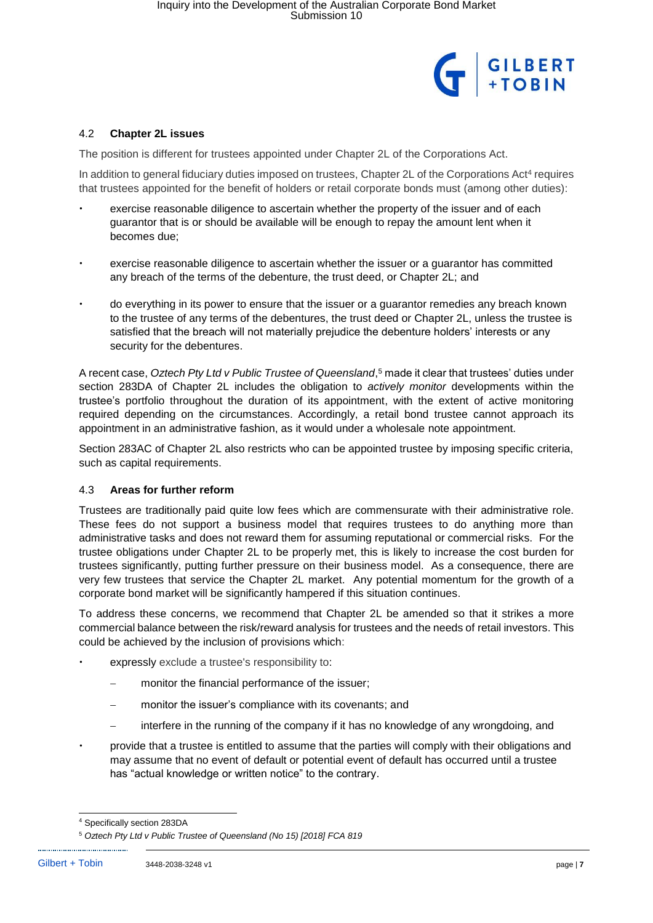

### 4.2 **Chapter 2L issues**

The position is different for trustees appointed under Chapter 2L of the Corporations Act.

In addition to general fiduciary duties imposed on trustees, Chapter 2L of the Corporations Act<sup>4</sup> requires that trustees appointed for the benefit of holders or retail corporate bonds must (among other duties):

- exercise reasonable diligence to ascertain whether the property of the issuer and of each guarantor that is or should be available will be enough to repay the amount lent when it becomes due;
- exercise reasonable diligence to ascertain whether the issuer or a guarantor has committed any breach of the terms of the debenture, the trust deed, or Chapter 2L; and
- do everything in its power to ensure that the issuer or a guarantor remedies any breach known to the trustee of any terms of the debentures, the trust deed or Chapter 2L, unless the trustee is satisfied that the breach will not materially prejudice the debenture holders' interests or any security for the debentures.

A recent case, *Oztech Pty Ltd v Public Trustee of Queensland*, <sup>5</sup> made it clear that trustees' duties under section 283DA of Chapter 2L includes the obligation to *actively monitor* developments within the trustee's portfolio throughout the duration of its appointment, with the extent of active monitoring required depending on the circumstances. Accordingly, a retail bond trustee cannot approach its appointment in an administrative fashion, as it would under a wholesale note appointment.

Section 283AC of Chapter 2L also restricts who can be appointed trustee by imposing specific criteria, such as capital requirements.

#### 4.3 **Areas for further reform**

Trustees are traditionally paid quite low fees which are commensurate with their administrative role. These fees do not support a business model that requires trustees to do anything more than administrative tasks and does not reward them for assuming reputational or commercial risks. For the trustee obligations under Chapter 2L to be properly met, this is likely to increase the cost burden for trustees significantly, putting further pressure on their business model. As a consequence, there are very few trustees that service the Chapter 2L market. Any potential momentum for the growth of a corporate bond market will be significantly hampered if this situation continues.

To address these concerns, we recommend that Chapter 2L be amended so that it strikes a more commercial balance between the risk/reward analysis for trustees and the needs of retail investors. This could be achieved by the inclusion of provisions which:

- expressly exclude a trustee's responsibility to:
	- monitor the financial performance of the issuer;
	- monitor the issuer's compliance with its covenants; and
	- interfere in the running of the company if it has no knowledge of any wrongdoing, and
- provide that a trustee is entitled to assume that the parties will comply with their obligations and may assume that no event of default or potential event of default has occurred until a trustee has "actual knowledge or written notice" to the contrary.

<sup>-</sup><sup>4</sup> Specifically section 283DA

<sup>5</sup> *Oztech Pty Ltd v Public Trustee of Queensland (No 15) [2018] FCA 819*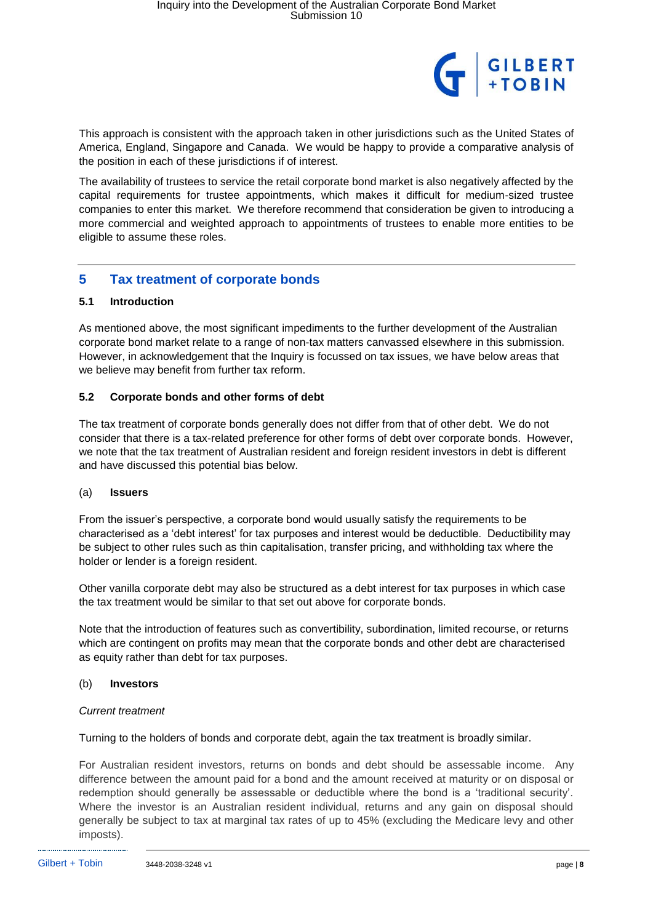

This approach is consistent with the approach taken in other jurisdictions such as the United States of America, England, Singapore and Canada. We would be happy to provide a comparative analysis of the position in each of these jurisdictions if of interest.

The availability of trustees to service the retail corporate bond market is also negatively affected by the capital requirements for trustee appointments, which makes it difficult for medium-sized trustee companies to enter this market. We therefore recommend that consideration be given to introducing a more commercial and weighted approach to appointments of trustees to enable more entities to be eligible to assume these roles.

## **5 Tax treatment of corporate bonds**

## **5.1 Introduction**

As mentioned above, the most significant impediments to the further development of the Australian corporate bond market relate to a range of non-tax matters canvassed elsewhere in this submission. However, in acknowledgement that the Inquiry is focussed on tax issues, we have below areas that we believe may benefit from further tax reform.

### **5.2 Corporate bonds and other forms of debt**

The tax treatment of corporate bonds generally does not differ from that of other debt. We do not consider that there is a tax-related preference for other forms of debt over corporate bonds. However, we note that the tax treatment of Australian resident and foreign resident investors in debt is different and have discussed this potential bias below.

#### (a) **Issuers**

From the issuer's perspective, a corporate bond would usually satisfy the requirements to be characterised as a 'debt interest' for tax purposes and interest would be deductible. Deductibility may be subject to other rules such as thin capitalisation, transfer pricing, and withholding tax where the holder or lender is a foreign resident.

Other vanilla corporate debt may also be structured as a debt interest for tax purposes in which case the tax treatment would be similar to that set out above for corporate bonds.

Note that the introduction of features such as convertibility, subordination, limited recourse, or returns which are contingent on profits may mean that the corporate bonds and other debt are characterised as equity rather than debt for tax purposes.

#### (b) **Investors**

#### *Current treatment*

Turning to the holders of bonds and corporate debt, again the tax treatment is broadly similar.

For Australian resident investors, returns on bonds and debt should be assessable income. Any difference between the amount paid for a bond and the amount received at maturity or on disposal or redemption should generally be assessable or deductible where the bond is a 'traditional security'. Where the investor is an Australian resident individual, returns and any gain on disposal should generally be subject to tax at marginal tax rates of up to 45% (excluding the Medicare levy and other imposts).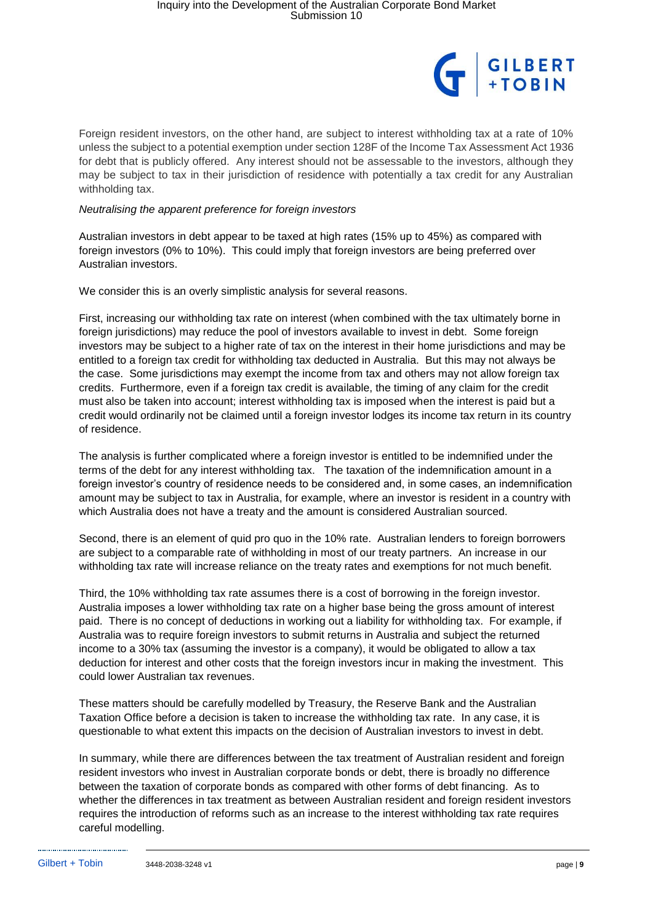

Foreign resident investors, on the other hand, are subject to interest withholding tax at a rate of 10% unless the subject to a potential exemption under section 128F of the Income Tax Assessment Act 1936 for debt that is publicly offered. Any interest should not be assessable to the investors, although they may be subject to tax in their jurisdiction of residence with potentially a tax credit for any Australian withholding tax.

### *Neutralising the apparent preference for foreign investors*

Australian investors in debt appear to be taxed at high rates (15% up to 45%) as compared with foreign investors (0% to 10%). This could imply that foreign investors are being preferred over Australian investors.

We consider this is an overly simplistic analysis for several reasons.

First, increasing our withholding tax rate on interest (when combined with the tax ultimately borne in foreign jurisdictions) may reduce the pool of investors available to invest in debt. Some foreign investors may be subject to a higher rate of tax on the interest in their home jurisdictions and may be entitled to a foreign tax credit for withholding tax deducted in Australia. But this may not always be the case. Some jurisdictions may exempt the income from tax and others may not allow foreign tax credits. Furthermore, even if a foreign tax credit is available, the timing of any claim for the credit must also be taken into account; interest withholding tax is imposed when the interest is paid but a credit would ordinarily not be claimed until a foreign investor lodges its income tax return in its country of residence.

The analysis is further complicated where a foreign investor is entitled to be indemnified under the terms of the debt for any interest withholding tax. The taxation of the indemnification amount in a foreign investor's country of residence needs to be considered and, in some cases, an indemnification amount may be subject to tax in Australia, for example, where an investor is resident in a country with which Australia does not have a treaty and the amount is considered Australian sourced.

Second, there is an element of quid pro quo in the 10% rate. Australian lenders to foreign borrowers are subject to a comparable rate of withholding in most of our treaty partners. An increase in our withholding tax rate will increase reliance on the treaty rates and exemptions for not much benefit.

Third, the 10% withholding tax rate assumes there is a cost of borrowing in the foreign investor. Australia imposes a lower withholding tax rate on a higher base being the gross amount of interest paid. There is no concept of deductions in working out a liability for withholding tax. For example, if Australia was to require foreign investors to submit returns in Australia and subject the returned income to a 30% tax (assuming the investor is a company), it would be obligated to allow a tax deduction for interest and other costs that the foreign investors incur in making the investment. This could lower Australian tax revenues.

These matters should be carefully modelled by Treasury, the Reserve Bank and the Australian Taxation Office before a decision is taken to increase the withholding tax rate. In any case, it is questionable to what extent this impacts on the decision of Australian investors to invest in debt.

In summary, while there are differences between the tax treatment of Australian resident and foreign resident investors who invest in Australian corporate bonds or debt, there is broadly no difference between the taxation of corporate bonds as compared with other forms of debt financing. As to whether the differences in tax treatment as between Australian resident and foreign resident investors requires the introduction of reforms such as an increase to the interest withholding tax rate requires careful modelling.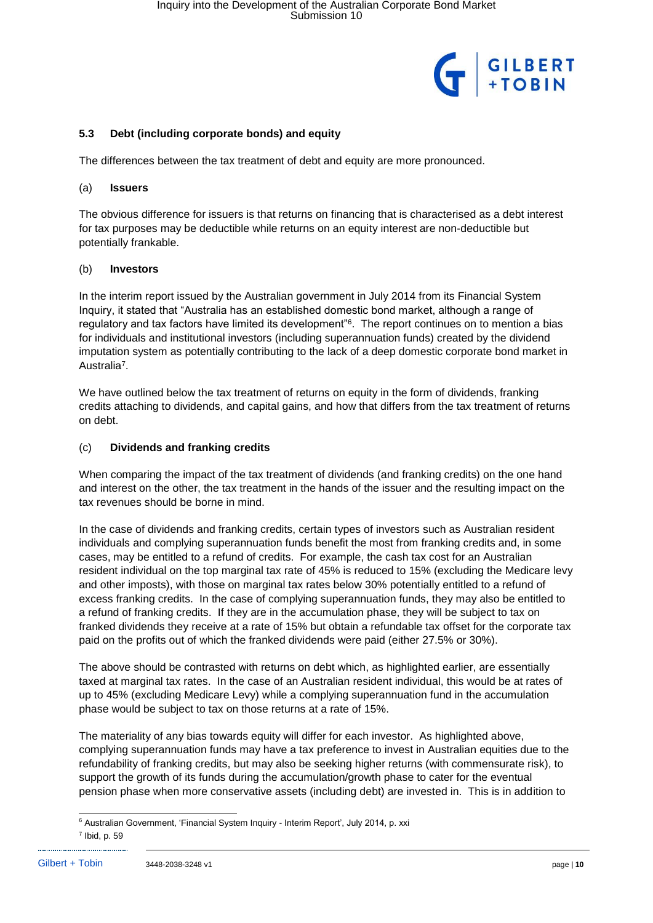

## **5.3 Debt (including corporate bonds) and equity**

The differences between the tax treatment of debt and equity are more pronounced.

### (a) **Issuers**

The obvious difference for issuers is that returns on financing that is characterised as a debt interest for tax purposes may be deductible while returns on an equity interest are non-deductible but potentially frankable.

## (b) **Investors**

In the interim report issued by the Australian government in July 2014 from its Financial System Inquiry, it stated that "Australia has an established domestic bond market, although a range of regulatory and tax factors have limited its development"<sup>6</sup>. The report continues on to mention a bias for individuals and institutional investors (including superannuation funds) created by the dividend imputation system as potentially contributing to the lack of a deep domestic corporate bond market in Australia<sup>7</sup>.

We have outlined below the tax treatment of returns on equity in the form of dividends, franking credits attaching to dividends, and capital gains, and how that differs from the tax treatment of returns on debt.

## (c) **Dividends and franking credits**

When comparing the impact of the tax treatment of dividends (and franking credits) on the one hand and interest on the other, the tax treatment in the hands of the issuer and the resulting impact on the tax revenues should be borne in mind.

In the case of dividends and franking credits, certain types of investors such as Australian resident individuals and complying superannuation funds benefit the most from franking credits and, in some cases, may be entitled to a refund of credits. For example, the cash tax cost for an Australian resident individual on the top marginal tax rate of 45% is reduced to 15% (excluding the Medicare levy and other imposts), with those on marginal tax rates below 30% potentially entitled to a refund of excess franking credits. In the case of complying superannuation funds, they may also be entitled to a refund of franking credits. If they are in the accumulation phase, they will be subject to tax on franked dividends they receive at a rate of 15% but obtain a refundable tax offset for the corporate tax paid on the profits out of which the franked dividends were paid (either 27.5% or 30%).

The above should be contrasted with returns on debt which, as highlighted earlier, are essentially taxed at marginal tax rates. In the case of an Australian resident individual, this would be at rates of up to 45% (excluding Medicare Levy) while a complying superannuation fund in the accumulation phase would be subject to tax on those returns at a rate of 15%.

The materiality of any bias towards equity will differ for each investor. As highlighted above, complying superannuation funds may have a tax preference to invest in Australian equities due to the refundability of franking credits, but may also be seeking higher returns (with commensurate risk), to support the growth of its funds during the accumulation/growth phase to cater for the eventual pension phase when more conservative assets (including debt) are invested in. This is in addition to

<sup>-</sup><sup>6</sup> Australian Government, 'Financial System Inquiry - Interim Report', July 2014, p. xxi  $<sup>7</sup>$  Ibid, p. 59</sup>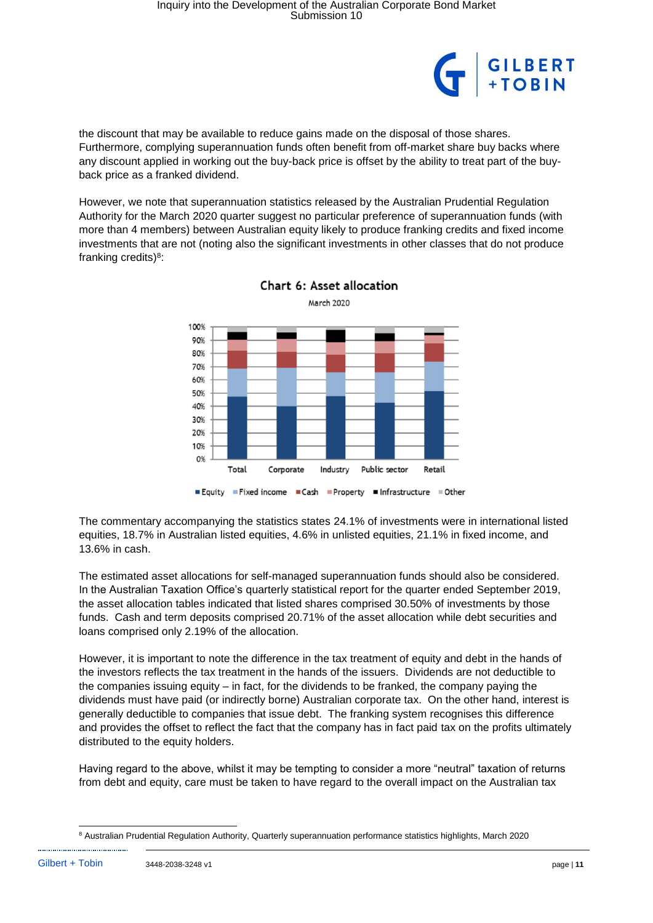

the discount that may be available to reduce gains made on the disposal of those shares. Furthermore, complying superannuation funds often benefit from off-market share buy backs where any discount applied in working out the buy-back price is offset by the ability to treat part of the buyback price as a franked dividend.

However, we note that superannuation statistics released by the Australian Prudential Regulation Authority for the March 2020 quarter suggest no particular preference of superannuation funds (with more than 4 members) between Australian equity likely to produce franking credits and fixed income investments that are not (noting also the significant investments in other classes that do not produce franking credits)<sup>8</sup>:





The commentary accompanying the statistics states 24.1% of investments were in international listed equities, 18.7% in Australian listed equities, 4.6% in unlisted equities, 21.1% in fixed income, and 13.6% in cash.

The estimated asset allocations for self-managed superannuation funds should also be considered. In the Australian Taxation Office's quarterly statistical report for the quarter ended September 2019, the asset allocation tables indicated that listed shares comprised 30.50% of investments by those funds. Cash and term deposits comprised 20.71% of the asset allocation while debt securities and loans comprised only 2.19% of the allocation.

However, it is important to note the difference in the tax treatment of equity and debt in the hands of the investors reflects the tax treatment in the hands of the issuers. Dividends are not deductible to the companies issuing equity – in fact, for the dividends to be franked, the company paying the dividends must have paid (or indirectly borne) Australian corporate tax. On the other hand, interest is generally deductible to companies that issue debt. The franking system recognises this difference and provides the offset to reflect the fact that the company has in fact paid tax on the profits ultimately distributed to the equity holders.

Having regard to the above, whilst it may be tempting to consider a more "neutral" taxation of returns from debt and equity, care must be taken to have regard to the overall impact on the Australian tax

<sup>-</sup><sup>8</sup> Australian Prudential Regulation Authority, Quarterly superannuation performance statistics highlights, March 2020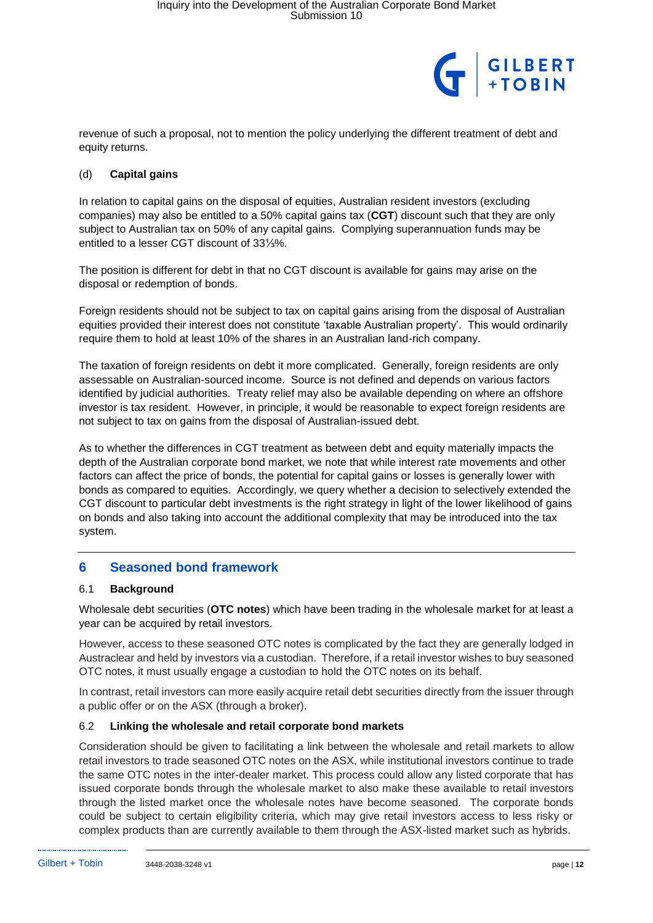

revenue of such a proposal, not to mention the policy underlying the different treatment of debt and equity returns.

## (d) **Capital gains**

In relation to capital gains on the disposal of equities, Australian resident investors (excluding companies) may also be entitled to a 50% capital gains tax (**CGT**) discount such that they are only subject to Australian tax on 50% of any capital gains. Complying superannuation funds may be entitled to a lesser CGT discount of 33⅓%.

The position is different for debt in that no CGT discount is available for gains may arise on the disposal or redemption of bonds.

Foreign residents should not be subject to tax on capital gains arising from the disposal of Australian equities provided their interest does not constitute 'taxable Australian property'. This would ordinarily require them to hold at least 10% of the shares in an Australian land-rich company.

The taxation of foreign residents on debt it more complicated. Generally, foreign residents are only assessable on Australian-sourced income. Source is not defined and depends on various factors identified by judicial authorities. Treaty relief may also be available depending on where an offshore investor is tax resident. However, in principle, it would be reasonable to expect foreign residents are not subject to tax on gains from the disposal of Australian-issued debt.

As to whether the differences in CGT treatment as between debt and equity materially impacts the depth of the Australian corporate bond market, we note that while interest rate movements and other factors can affect the price of bonds, the potential for capital gains or losses is generally lower with bonds as compared to equities. Accordingly, we query whether a decision to selectively extended the CGT discount to particular debt investments is the right strategy in light of the lower likelihood of gains on bonds and also taking into account the additional complexity that may be introduced into the tax system.

## **6 Seasoned bond framework**

## 6.1 **Background**

Wholesale debt securities (**OTC notes**) which have been trading in the wholesale market for at least a year can be acquired by retail investors.

However, access to these seasoned OTC notes is complicated by the fact they are generally lodged in Austraclear and held by investors via a custodian. Therefore, if a retail investor wishes to buy seasoned OTC notes, it must usually engage a custodian to hold the OTC notes on its behalf.

In contrast, retail investors can more easily acquire retail debt securities directly from the issuer through a public offer or on the ASX (through a broker).

## 6.2 **Linking the wholesale and retail corporate bond markets**

Consideration should be given to facilitating a link between the wholesale and retail markets to allow retail investors to trade seasoned OTC notes on the ASX, while institutional investors continue to trade the same OTC notes in the inter-dealer market. This process could allow any listed corporate that has issued corporate bonds through the wholesale market to also make these available to retail investors through the listed market once the wholesale notes have become seasoned. The corporate bonds could be subject to certain eligibility criteria, which may give retail investors access to less risky or complex products than are currently available to them through the ASX-listed market such as hybrids.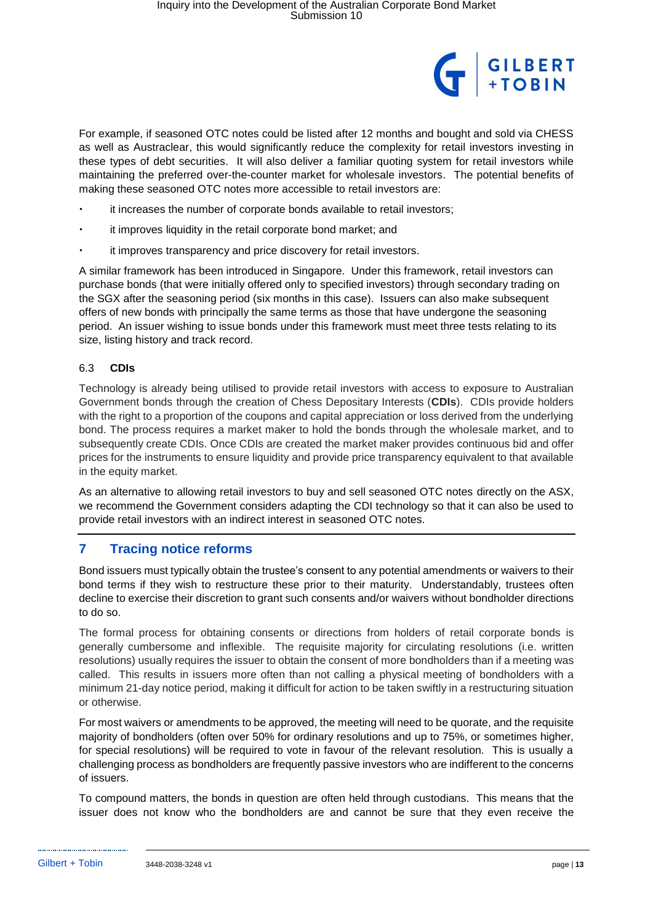

For example, if seasoned OTC notes could be listed after 12 months and bought and sold via CHESS as well as Austraclear, this would significantly reduce the complexity for retail investors investing in these types of debt securities. It will also deliver a familiar quoting system for retail investors while maintaining the preferred over-the-counter market for wholesale investors. The potential benefits of making these seasoned OTC notes more accessible to retail investors are:

- it increases the number of corporate bonds available to retail investors;
- it improves liquidity in the retail corporate bond market; and
- it improves transparency and price discovery for retail investors.

A similar framework has been introduced in Singapore. Under this framework, retail investors can purchase bonds (that were initially offered only to specified investors) through secondary trading on the SGX after the seasoning period (six months in this case). Issuers can also make subsequent offers of new bonds with principally the same terms as those that have undergone the seasoning period. An issuer wishing to issue bonds under this framework must meet three tests relating to its size, listing history and track record.

## 6.3 **CDIs**

Technology is already being utilised to provide retail investors with access to exposure to Australian Government bonds through the creation of Chess Depositary Interests (**CDIs**). CDIs provide holders with the right to a proportion of the coupons and capital appreciation or loss derived from the underlying bond. The process requires a market maker to hold the bonds through the wholesale market, and to subsequently create CDIs. Once CDIs are created the market maker provides continuous bid and offer prices for the instruments to ensure liquidity and provide price transparency equivalent to that available in the equity market.

As an alternative to allowing retail investors to buy and sell seasoned OTC notes directly on the ASX, we recommend the Government considers adapting the CDI technology so that it can also be used to provide retail investors with an indirect interest in seasoned OTC notes.

## **7 Tracing notice reforms**

Bond issuers must typically obtain the trustee's consent to any potential amendments or waivers to their bond terms if they wish to restructure these prior to their maturity. Understandably, trustees often decline to exercise their discretion to grant such consents and/or waivers without bondholder directions to do so.

The formal process for obtaining consents or directions from holders of retail corporate bonds is generally cumbersome and inflexible. The requisite majority for circulating resolutions (i.e. written resolutions) usually requires the issuer to obtain the consent of more bondholders than if a meeting was called. This results in issuers more often than not calling a physical meeting of bondholders with a minimum 21-day notice period, making it difficult for action to be taken swiftly in a restructuring situation or otherwise.

For most waivers or amendments to be approved, the meeting will need to be quorate, and the requisite majority of bondholders (often over 50% for ordinary resolutions and up to 75%, or sometimes higher, for special resolutions) will be required to vote in favour of the relevant resolution. This is usually a challenging process as bondholders are frequently passive investors who are indifferent to the concerns of issuers.

To compound matters, the bonds in question are often held through custodians. This means that the issuer does not know who the bondholders are and cannot be sure that they even receive the